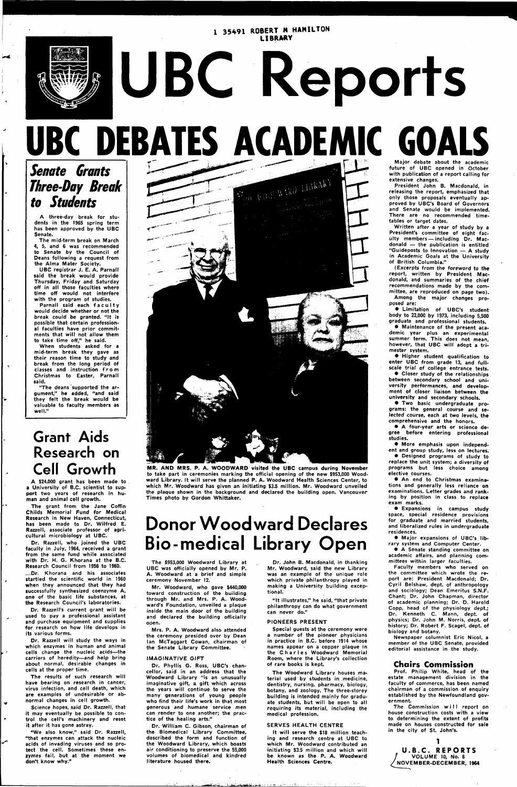#### *I* **35491 ROBERT** *H* **HAMILTON LIBRARY**

# **UBC Reports UBC DEBATES ACADEMIC GOAL**



## **Senate Grants Three-Day Break to Students**

A three-day break for students in the 1965 spring term has been approved by the UBC Senate.

The mid-term break on March 4, 5, and 6 was recommended to Senate by the Council of Deans following a request from the Alma Mater Society.

Parnall said each faculty would decide whether or not the break could be granted. "It is possible that certain professional faculties have prior commitments that will not allow them to take time off," he said.

UBC registrar J. E. A. Parnall said the break would provide Thursday, Friday and Saturday off in all those faculties where time off would not interfere with the program of studies.

"The deans supported the argument," he added, "and said they felt the break would be valuable to faculty members as well."

When students asked for a mid-term break they gave as their reason time to study and break from the long period of classes and instruction fro m Christmas to Easter, Parnall said.

### **Grant Aids Research on Cell Growth**

A \$24,000 grant has been made to a University of B.C. scientist to support two years of research in human and animal cell growth.

The grant from the Jane Coffin Childs Memorial Fund for Medical Research in New Haven, Connecticut, has been made to Dr. Wilfred E. Razzell, associate professor of agricultural microbiology at UBC.

Dr. Razzell, who joined the UBC faculty in July, 1964, received a grant from the same fund while associated with Dr. H. G. Khorana at the B.C. Research Council from 1956 to 1960.

# **Donor Woodward Declares Bio-medical Library Open**

Dr. Khorana and his associates startled the scientific world in 1960 ey announced that they had successfully synthesized coenzyme A, one of the basic life substances, at the Research Council's laboratories.

Dr. Razzell's current grant will be used to pay a professional assistant and purchase equipment and supplies for research on how life develops in its various forms.

Dr. Razzell will study the ways in which enzymes in human and animal cells change the nucleic acids—the carriers of heredity—and help bring about normal, desirable changes in cells at the proper time.

The results of such research will have bearing on research in cancer, virus infection, and cell death, which are examples of undesirable or abnormal changes in cell growth.

Science hopes, said Dr. Razzell, that it may eventually be possible to control the cell's machinery and reset it after it has gone astray.

"We also know," said Dr. Razzell, "that enzymes can attack the nucleic acids of invading viruses and so protect the cell. Sometimes these enzymes fail, but at the moment we don't know why."



**MR. AND MRS. P. A. WOODWARD** visited the UBC campus during November to take part in ceremonies marking the official opening of the new \$953,000 Woodward Library. It will serve the planned P. A. Woodward Health Sciences Center, to which Mr. Woodward has given an initiating \$3.5 million. Mr. Woodward unveiled the plaque shown in the background and declared the building open. Vancouver Times photo by Gordon Whittaker.

The \$953,000 Woodward Library at UBC was officially opened by Mr. P. A. Woodward at a brief and simple ceremony November 12.

Mr. Woodward, who gave \$440,000 toward construction of the building through Mr. and Mrs. P. A. Woodward's Foundation, unveiled a plaque inside the main door of the building and declared the building officially open.

Mrs. P. A. Woodward also attended the ceremony presided over by Dean Ian McTaggart Cowan, chairman of the Senate Library Committee.

#### IMAGINATIVE GIFT

Dr. Phyllis G. Ross, UBC's chancellor, said in an address that the Woodward Library "is an unusually imaginative gift, a gift which across the years will continue to serve the many generations of young people who find their life's work in that most generous and humane service men can render to one another; the practice of the healing arts."

Dr. William C. Gibson, chairman of the Biomedical Library Committee, described the form and function of the Woodward Library, which boasts air conditioning to preserve the 55,000 volumes of biomedical and kindred literature housed there.

The Commission will report on house construction costs with a view to determining the extent of profits made on houses constructed for sale in the city of St. John's.

Dr. John B. Macdonald, in thanking Mr. Woodward, said the new Library was an example of the unique role which private philanthropy played in

making a University building exceptional.

"It illustrates," he said, "that private philanthropy can do what government can never do."

#### PIONEERS PRESENT

Special guests at the ceremony were a number of the pioneer physicians in practice in B.C. before 1914 whose names appear on a copper plaque in the Charles Woodward Memorial Room, where the Library's collection of rare books is kept

The Woodward Library houses material used by students in medicine, dentistry, nursing, pharmacy, biology, botany, and zoology. The three-storey building is intended mainly for graduate students, but will be open to all requiring its material, including the medical profession.

#### SERVES HEALTH CENTRE

It will serve the \$18 million teaching and research centre at UBC to which Mr. Woodward contributed an initiating \$3.5 million and which will be known as the P. A. Woodward Health Sciences Centre.

Major debate about the academic future of UBC opened in October with publication of a report calling for extensive changes.

President John B. Macdonald, in releasing the report, emphasized that only those proposals eventually approved by UBC's Board of Governors and Senate would be implemented. There are no recommended timetables or target dates.

Written after a year of study by a President's committee of eight faculty members —including Dr. Macdonald — the publication is entitled "Guideposts to Innovation — A study in Academic Goals at the University of British Columbia."

(Excerpts from the foreword to the report, written by President Macdonald, and summaries of the chief recommendations made by the committee, are reproduced on page two). Among the major changes proposed are:

• Limitation of UBC's student body to 22,000 by 1973, including 5,500 graduate and professional students.

• Maintenance of the present academic year plus an experimental summer term. This does not mean, however, that UBC will adopt a trimester system.

• Higher student qualification to enter UBC from grade 13, and fullscale trial of college entrance tests.

• Closer study of the relationships between secondary school and university performances, and development of closer liaison between the university and secondary schools.

• Two basic undergraduate programs: the general course and selected course, each at two levels, the comprehensive and the honors.

• A four-year arts or science degree before entering professional studies.

• More emphasis upon independent and group study, less on lectures.

• Designed programs of study to replace the unit system; a diversity of programs but less choice among elective courses.

• An end to Christmas examinations and generally less reliance on examinations. Letter grades and ranking by position in class to replace exam marks.

• Expansions in campus study space, special residence provisions for graduate and married students, and liberalized rules in undergraduate residences.

• Major expansions of UBC's library system and Computer Center.

• A Senate standing committee on academic affairs, and planning committees within larger faculties.

Faculty members who served on the committee which wrote the report are: President Macdonald; Dr. Cyril Belshaw, dept. of anthrop and sociology; Dean Emeritus S.N.F. Chant; Dr. John Chapman, director of academic planning; Dr. D. Harold Copp, head of the physiology dept.; Dr. Kenneth C. Mann, dept. of physics; Dr. John M. Norris, dept. of history; Dr. Robert F. Scagel, dept. of biology and botany.

Newspaper columnist Eric Nicol, a member of the UBC Senate, provided editorial assistance in the study.

#### **Chairs Commission**

Prof. Philip White, head of the estate management division in the faculty of commerce, has been named chairman of a commission of enquiry established by the Newfoundland government.

**1 U.B.C. REPORTS**  VOLUME 10, No. 6 NOVEMBER-DECEMBER, 1964

**-.fa.'.-.-\_\_a\_\_\_\_\_.U >-\_\_..**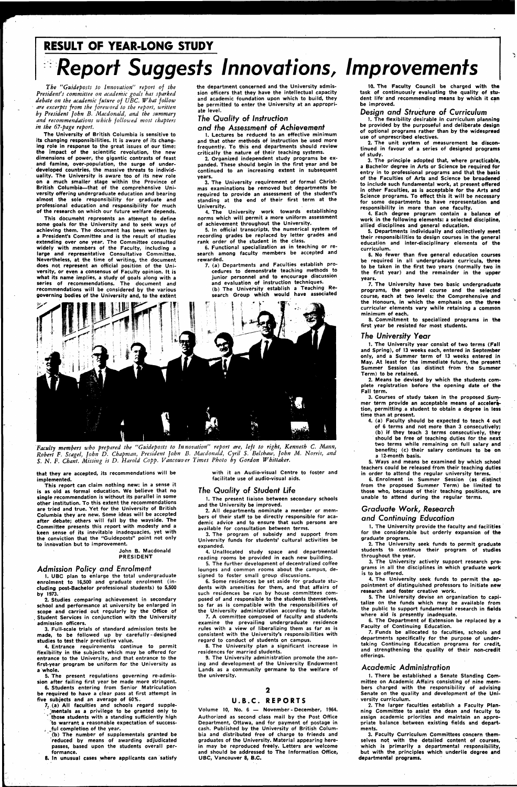# **RESULT OF YEAR-LONG STUDY Report Suggests Innovations, Improvements**

*The "Guideposts to Innovation" report of the President's committee on academic goals has sparked debate on the academic future of UBC. What follow are excerpts from the foreword to the report, written by President ]ohn B. Macdonald, and the summary and recommendations which followed most chapters in the 67-page report.* 

**The University of British Columbia is sensitive to its changing responsibilities. It is aware of its changing role in response to the great issues of our time: the Impact of the scientific revolution, the new dimensions of power, the gigantic contrasts of feast and famine, over-population, the surge of underdeveloped countries, the massive threats to individuality. The University is aware too of its new role on a much smaller stage within the Province of British Columbia—that of the comprehensive University offering undergraduate education and bearing almost the sole responsibility for graduate and professional education and responsibility for much of the research on which our future welfare depends.** 

**This documeht represents an attempt to define some goals for the University and to seek ways of achieving them. The document has been written by a President's Committee and is the result of studies extending over one year. The Committee consulted widely with members of the Faculty, including a large and representative Consultative Committee. Nevertheless, at the time of writing, the document does not represent an official position of the University, or even a consensus of Faculty opinion. It is what its name implies, a study of goals along with a series of recommendations. The document and recommendations will be considered by the various governing bodies of the University and, to the extent**  **the department concerned and the University admission officers that they have the intellectual capacity and academic foundation upon which to build, they be permitted to enter the University at an appropriate level.** 

#### *The Quality of Instruction*

#### and the Assessment of Achievement

**1. Lectures be reduced to an effective minimum and that other methods of instruction be used more frequently. To this end departments should review critically the nature of their teaching systems.** 

**2. Organized independent study programs be expanded. These should begin in the first year and be continued to an increasing extent in subsequent years.** 

**3. The University requirement of formal Christmas examinations be removed but departments be required to provide an assessment of the student's standing at the end of their first term at the University.** 

**4. The University work towards establishing norms which will permit a more uniform assessment of achievement throughout the University.** 

 $(b)$  The number of supplementals granted be **reduced by means of awarding adjudicated passes, based upon the students overall performance.** 

**5. In official transcripts, the numerical system of recording grades be replaced by letter grades and rank order of the student in the class.** 

**6. Functional specialization as in teaching or research among faculty members be accepted and rewarded.** 

**7. (a) Departments and Faculties establish procedures to demonstrate teaching methods to junior personnel and to encourage discussion and evaluation of instruction techniques. (b) The University establish a Teaching Research Group which would have associated** 



*Faculty members who prepared the "Guideposts to Innovation" report are, left to right, Kenneth C. Mann, Robert F. Scagel, John D. Chapman, President John B. Macdonald, Cyril S. Belshaw, John M. Norris, and S.* N. *F. Chant. Missing is D. Harold Copp. Vancouver Times Photo by Gordon Whittaker.* 

**that they are accepted, its recommendations will be implemented.** 

**This report can claim nothing new: in a sense it is as old as formal education. We believe that no single recommendation is without its parallel in some other institution. To this extent the recommendations are tried and true. Yet for the University of British Columbia they are new. Some ideas will be accepted after debate; others will fall by the wayside. The Committee presents this report with modesty and a keen sense of its inevitable inadequacies, yet with the conviction that the "Guideposts" point not only to innovation but to improvement.** 

**John B. Macdonald PRESIDENT** 

#### Admission Policy and Enrolment

**1. UBC plan to enlarge the total undergraduate enrolment to 16,500 and graduate enrolment (including post-Bachelor professional students) to 5,500 by 1973. 2. Studies comparing achievement in secondary school and performance at university be enlarged in scope and carried out regularly by the Office of . Student Services in conjunction with the University admission officers.** 

**3. Full-scale trials of standard admission tests be made, to be followed up by carefully-designed studies to test their predictive value.** 

**4. Entrance requirements continue to permit flexibility in the subjects which may be offered for entrance to the University, and that entrance to the first-year program be uniform for the University as a whole.** 

**5. The present regulations governing re-admission after failing first year be made more stringent.** 

**6. Students entering from Senior Matriculation be required to have a clear pass at first attempt in five subjects and an average of 60%.** 

**7. (a) All faculties and schools regard supple- ; ^mentals as a privilege to be granted only to 'those students with a standing sufficiently high to warrant a reasonable expectation of success- .. ..fill completion of the year.** 

**8. In unusual cases where applicants can satisfy** 

**with it an Audio-visual Centre to foster and facilitate use of audio-visual aids.** 

#### The Quality of Student Life

**1. The present liaison between secondary schools and the University be improved.** 

**2. All departments nominate a member or members of their staff to be directly responsible for academic advice and to ensure that such persons are available for consultation between terms.** 

**3. The program of subsidy and support from University funds for students' cultural activities be expanded.** 

**4. Unallocated study space and departmental reading rooms be provided in each new building. 5. The further development of decentralized coffee** 

**lounges and common rooms about the campus, designed to foster small group discussions.** 

**6. Some residences be set aside for graduate stu-**

**dents with amenities for them, and that affairs of such residences be run by house committees composed of and responsible to the students themselves, so far as is compatible with the responsibilities of the University administration according to statute.** 

**7. A committee composed of faculty and students examine the prevailing undergraduate residence rules with a view of liberalizing them as far as is consistent with the University's responsibilities with regard to conduct of students on campus.** 

**8. The University plan a significant increase in residences for married students.** 

**9. The University administration promote the zoning and development of the University Endowment Lands as a community germane to the welfare of the university.** 

#### $\mathbf 2$

#### U.B.C . REPORTS

**Volume 10, No. 6 — November - December, 1964. Authorized as second class mail by the Post Office Department, Ottawa, and for payment of postage in cash. Published by the University of British Columbia and distributed free of charge to friends and graduates of the University. Material appearing herein may be reproduced freely. Letters are welcome and should be addressed to The Information Office, UBC, Vancouver 8, B.C.** 

**10. The Faculty Council be charged with the task of continuously evaluating the quality of student life' and recommending means by which it can be improved.** 

#### Design and Structure of Curriculum

**1. The flexibility desirable in curriculum planning be provided by the purposeful and deliberate design of optional programs rather than by the widespread use of unprescribed electives.** 

**2. The unit system of measurement be discontinued in favour of a series of designed programs of study.** 

**3. The principle adopted that, where practicable, a Bachelor degree in Arts or Science be required for entry in to professional programs and that the basis of the Faculties of Arts and Science be broadened to include such fundamental work, at present offered in other Faculties, as is acceptable for the Arts and Science programs. To effect this it will be necessary for some departments to have representation and responsibility in more than one faculty.** 

**4. Each degree program contain a balance of work in the following elements: a selected discipline, allied disciplines and general education.** 

**5. Departments individually and collectively meet their responsibilities to design courses in the general education and inter-disciplinary elements of the curriculum.** 

**6. No fewer than five general education courses be required in all undergraduate curricula, three to be taken in the first two years (normally two in the first year) and the remainder in the upper years.** 

**7. The University have two basic undergraduate programs, the general course and the selected course, each at two levels: the Comprehensive and the Honours, in which the emphasis on the three curricular elements vary while retaining a common minimum of each.** 

**8. Commitment to specialized programs in the first year be resisted for most students.** 

#### The University Year

**1. The University year consist of two terms (Fall and Spring), of 13 weeks each, entered in September only, and a Summer term of 13 weeks entered in May. At least for the immediate future, the present Summer Session (as distinct from the Summer Term) to be retained.** 

**2. Means be devised by which the students complete registration before the opening date of the Fall term.** 

**3. Courses of study taken in the proposed Summer term provide an acceptable means of acceleration, permitting a student to obtain a degree in less time than at present.** 

**4. (a) Faculty should be expected to teach 4 out of 6 terms and not more than 3 consecutively; (b) if they teach 3 terms consecutively, they should be free of teaching duties for the next two terms while remaining on full salary and benefits; (c) their salary continues to be on a 12-month basis.** 

**5. Ways and means be examined by which school teachers could be released from their teaching duties in order to attend the regular university terms.** 

**6. Enrolment in Summer Session (as distinct from the proposed Summer Term) be limited to those who, because of their teaching positions, are unable to attend during the regular terms.** 

#### Graduate Work, Research

#### and Continuing Education

intment of disti

**1. The University provide the faculty and facilities for the considerable but orderly expansion of the graduate program.** 

**2. The University seek funds to permit graduate students to continue their program of studies throughout the year.** 

**3. The University actively support research programs in all the disciplines in which graduate work is to be offered. 4. The University seek funds to permit the ap-**

**research and foster creative work.** 

**5. The University devise an organization to capitalize on the funds which may be available from the public to support fundamental research in fields where aid is presently inadequate.** 

**6. The Department of Extension be replaced by a Faculty of Continuing Education.** 

**7. Funds be allocated to faculties, schools and departments specifically for the purpose of undertaking Continuing Education programs for credit, and strengthening the quality of their non-credit offerings.** 

#### Academic Administration

**1. There be established a Senate Standing Committee on Academic Affairs consisting of nine members charged with the responsibility of advising Senate on the quality and development of the University curriculum.** 

**2. The larger faculties establish a Faculty Planning Committee to assist the dean and faculty to assign academic priorities and maintain an appropriate balance between existing fields and departments.** 

**3. Faculty Curriculum Committees concern themselves not with the detailed content of courses, which is primarily a departmental responsibility, but with the, principles which underlie degree and departmental programs.**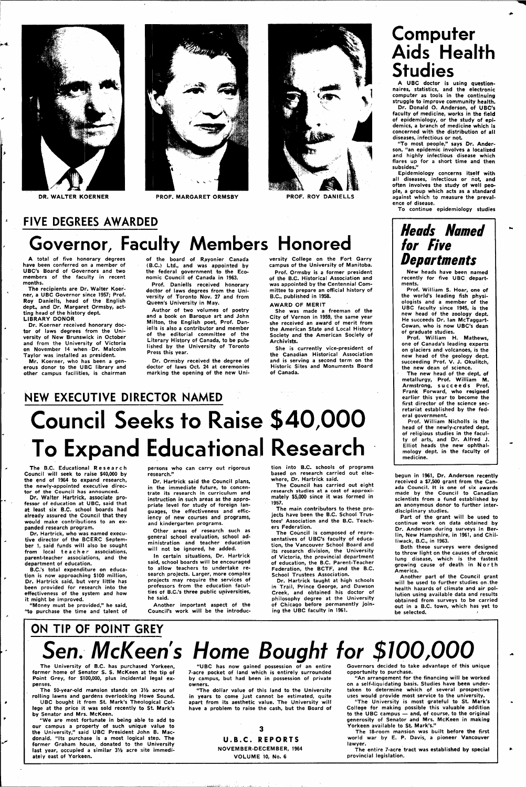

 $\overline{A}$ 



**DR. WALTER KOERNER PROF. MARGARET ORMSBY PROF. ROY DANIELLS** 



**FIVE DEGREES AWARDED** 

# **Governor, Faculty Members Honored**

**A total of five honorary degrees have been conferred on a member of UBC's Board of Governors and two members of the faculty in recent months.** 

**The recipients are Dr. Walter Koerner, a UBC Governor since 1957; Prof. Roy Daniells, head of the English dept., and Dr. Margaret Ormsby, actting head of the history dept. LIBRARY DONOR** 

**Dr. Koerner received honorary doctor of laws degrees from the University of New Brunswick in October and from the University of Victoria**  on November 14 when Dr. Malcolm **Taylor was installed as president.** 

**Mr. Koerner, who has been a generous donor to the UBC library and other campus facilities, is chairman** 

**of the board of Rayon ier Canada (B.C.) Ltd., and was appointed by the federal government to the Economic Council of Canada in 1963.** 

**Prof. Daniells received honorary doctor of laws degrees from the University of Toronto Nov. 27 and from Queen's University in May.** 

# **Council Seeks to Raise \$40,000 To Expand Educational Research**

**Author of two volumes of poetry and a book on Baroque art and John Milton, the English poet, Prof. Daniells is also a contributor and member of the editorial committee of the Literary History of Canada, to be published by the University of Toronto Press this year.** 

**Dr. Ormsby received the degree of doctor of laws Oct. 24 at ceremonies marking the opening of the new Uni-**

**versity College on the Fort Garry campus of the University of Manitoba.** 

**Prof. Ormsby is a former president of the B.C. Historical Association and was appointed by the Centennial Committee to prepare an official history of B.C., published in 1958.** 

#### **AWARD OF MERIT**

**She was made a freeman of the City of Vernon in 1959, the same year she received an award of merit from the American State and Local History Society and the American Society of Archivists.** 

**She is currently vice-president of the Canadian Historical Association and is serving a second term on the Historic Sites and Monuments Board of Canada.** 

### **NEW EXECUTIVE DIRECTOR NAMED**

**The B.C. Educational Researc h Council will seek to raise \$40,000 by the end of 1964 to expand research, the newly-appointed executive director of the Council has announced.** 

**Dr. Walter Hartrick, associate professor of education at UBC, said that at least six B.C. school boards had already assured the Council that they would make contributions to an expanded research program.** 

**Dr. Hartrick, who was named executive director of the BCERC September 1, said funds will also be sought**  from local teacher associations, **parent-teacher associations, and the department of education.** 

**B.C.'s total expenditure on education is now approaching \$100 million, Dr. Hartrick said, but very little has been provided for research into the effectiveness of the system and how** 

**it might be improved.** 

 $\overline{\phantom{a}}$ 

**"Money must be provided," he said, "to purchase the time and talent of**  **persons who can carry out rigorous research."** 

**Dr. Hartrick said the Council plans, in the immediate future, to concentrate its research in curriculum and instruction in such areas as the appropriate level for study of foreign languages, the effectiveness and efficiency of new courses and programs, and kindergarten programs.** 

**Other areas of research such as general school evaluation, school administration and teacher education will not be ignored, he added.** 

**In certain situations, Dr. Hartrick said, school boards will be encouraged to allow teachers to undertake research projects. Larger, more complex projects may require the services of professors from the education faculties of B.C.'s three public universities,** 

The University of B.C. has purchased Yorkeen **former home of Senator S. S. McKeen at the tip of Point Grey, for \$100,000, plus incidental legal expenses.** 

**he said.** 

The 50-year-old mansion stands on  $3\frac{1}{2}$  acres of **rolling lawns and gardens overlooking Howe Sound.** 

**Another important aspect of the Council's work will be the introduc-**

**tion into B.C. schools of programs based on research carried out elsewhere, Dr. Hartrick said.** 

**The Council has carried out eight research studies at a cost of approximately \$5,000 since it was formed in 1957.** 

**The main contributors to these projects have been the B.C. School Trustees' Association and the B.C. Teachers Federation.** 

**The Council is composed of representatives of UBC's faculty of education, the Vancouver School Board and its research division, the University of Victoria, the provincial department of education, the B.C. Parent-Teacher Federation, the BCTF, and the B.C. School Trustees Association.** 

**Dr. Hartrick taught at high schools in Trail, Prince George, and Dawson Creek, and obtained his doctor of** 

**philosophy degree at the University of Chicago before permanently joining the UBC faculty in 1961.** 

### **Computer Aids Health Studies A UBC doctor is using question-**

**naires, statistics, and the electronic computer as tools in the continuing struggle to improve community health. Dr. Donald O. Anderson, of UBC's faculty of medicine, works in the field of epidemiology, or the study of epidemics, a branch of medicine which is concerned with the distribution of all diseases, infectious or not** 

**"To most people," says Dr. Anderson, "an epidemic involves a localized and highly infectious disease which flares up for a short time and then subsides."** 

**Epidemiology concerns itself with all diseases, infectious or hot, and often involves the study of well people, a group which acts as a standard against which to measure the prevalence of disease.** 

**To continue epidemiology studies** 

### **Heads Named for Five Departments**

**New heads have been named recently for five UBC departments.** 

**Prof. William S. Hoar, one of the world's leading fish physiologists and a member of the UBC faculty since 1945, is the new head of the zoology dept. He succeeds Dr. Ian McTaggart-Cowan, who is now UBC's dean of graduate studies.** 

**Prof. William H. Mathews, one of Canada's leading experts on glaciers and volcanoes, is the new head of the geology dept. succeeding Prof. V. J. Okulitch, the new dean of science.** 

**The new head of the dept. of metallurgy, Prof. William M. Armstrong, succeed s Prof. Frank Forward, who resigned earlier this year to become the first director of the science secretariat established by the federal government.** 

**Prof. William Nicholls is the head of the newly-created dept. of religious studies in the faculty of arts, and Dr. Alfred J. Elliot heads the new ophthalmology dept. in the faculty of medicine.** 

**begun in 1961, Dr. Anderson recently received a \$7,500 grant from the Canada Council. It is one of six awards made by the Council to Canadian scientists from a fund established by an anonymous donor to further interdisciplinary studies.** 

**Part of the grant will be used to continue work on data obtained by Dr. Anderson during surveys in Berlin, New Hampshire, in 1961, and Chilliwack, B.C., in 1963.** 

**Both these surveys were designed to throw light on the causes of chronic lung disease, which is the fastest**  growing cause of death in North **America.** 

**Another part of the Council grant will be used to further studies on .the health hazards of climate and air pollution using available data and results** 

**obtained from surveys to be carried out in a B.C. town, which has yet to be selected. >** 

### **ON TIP OF POINT GREY**

# Sen. McKeen's Home Bought for \$100,000

**UBC bought it from St. Mark's Theological College at the price it was sold recently to St. Mark's by Senator and Mrs. McKeen.** 

**"We are most fortunate in being able to add to our campus a property of such unique value to the University," said! UBC President John B. Macdonald. "Its purchase is a most logical step. The former Graham house, donated to the University**  last year, occupied a similar 3<sup>1/2</sup> acre site immedi**ately east of Yorkeen.** 

**"UBC has now gained possession of an entire 7-acre pocket of land which is entirely surrounded by campus, but had been in possession of private owners.** 

**"The dollar value of this land to the University in years to come just cannot be estimated, quite apart from its aesthetic value. The University will have a problem to raise the cash, but the Board of** 

3

**U.B.C. REPORTS NOVEMBER-DECEMBER, 1964 VOLUME 10, No. 6** 

**Governors decided to take advantage of this unique opportunity to purchase.** 

**"An arrangement for the financing will be worked on a self-liquidating basis. Studies have been undertaken to determine which of several prospective uses would provide most service to the university.** 

**"The University is most grateful to St. Mark's College for making possible this valuable addition to the UBC campus — and, of course, to the original generosity of Senator and Mrs. McKeen in making Yorkeen available to St. Mark's."** 

**The 18-room mansion was built before the first world war by E. P. Davis, a pioneer Vancouver lawyer.** 

**The entire 7-acre tract was established by special provincial legislation.**